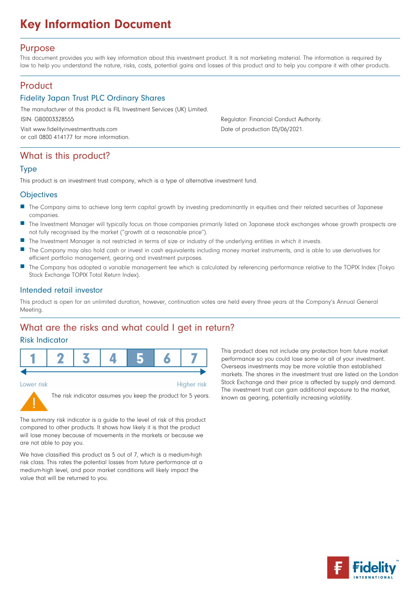# Key Information Document

#### Purpose

This document provides you with key information about this investment product. It is not marketing material. The information is required by law to help you understand the nature, risks, costs, potential gains and losses of this product and to help you compare it with other products.

### Product

#### Fidelity Japan Trust PLC Ordinary Shares

The manufacturer of this product is FIL Investment Services (UK) Limited.

Visit www.fidelityinvestmenttrusts.com Date of production 05/06/2021. or call 0800 414177 for more information.

ISIN: GB0003328555 Regulator: Financial Conduct Authority.

### What is this product?

#### Type

This product is an investment trust company, which is a type of alternative investment fund.

#### **Objectives**

- The Company aims to achieve long term capital growth by investing predominantly in equities and their related securities of Japanese companies.
- n The Investment Manager will typically focus on those companies primarily listed on Japanese stock exchanges whose growth prospects are not fully recognised by the market (''growth at a reasonable price'').
- The Investment Manager is not restricted in terms of size or industry of the underlying entities in which it invests.
- n The Company may also hold cash or invest in cash equivalents including money market instruments, and is able to use derivatives for efficient portfolio management, gearing and investment purposes.
- The Company has adopted a variable management fee which is calculated by referencing performance relative to the TOPIX Index (Tokyo Stock Exchange TOPIX Total Return Index).

#### Intended retail investor

This product is open for an unlimited duration, however, continuation votes are held every three years at the Company's Annual General Meeting.

**Higher risk** 

### What are the risks and what could I get in return?

#### Risk Indicator



Lower risk



The risk indicator assumes you keep the product for 5 years.

The summary risk indicator is a guide to the level of risk of this product compared to other products. It shows how likely it is that the product will lose money because of movements in the markets or because we are not able to pay you.

We have classified this product as 5 out of 7, which is a medium-high risk class. This rates the potential losses from future performance at a medium-high level, and poor market conditions will likely impact the value that will be returned to you.

This product does not include any protection from future market performance so you could lose some or all of your investment. Overseas investments may be more volatile than established markets. The shares in the investment trust are listed on the London Stock Exchange and their price is affected by supply and demand. The investment trust can gain additional exposure to the market, known as gearing, potentially increasing volatility.

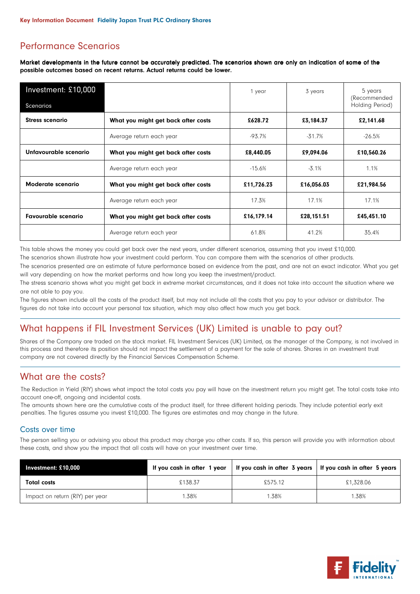## Performance Scenarios

Market developments in the future cannot be accurately predicted. The scenarios shown are only an indication of some of the possible outcomes based on recent returns. Actual returns could be lower.

| Investment: £10,000                                               |                                     | 1 year     | 3 years    | 5 years<br>(Recommended |
|-------------------------------------------------------------------|-------------------------------------|------------|------------|-------------------------|
| Scenarios                                                         |                                     |            |            | Holding Period)         |
| <b>Stress scenario</b>                                            | What you might get back after costs | £628.72    | £3,184.37  | £2,141.68               |
|                                                                   | Average return each year            | -93.7%     | $-31.7%$   | $-26.5%$                |
| Unfavourable scenario                                             | What you might get back after costs | £8,440.05  | £9,094.06  | £10,560.26              |
|                                                                   | Average return each year            | $-15.6%$   | $-3.1%$    | 1.1%                    |
| Moderate scenario                                                 | What you might get back after costs |            | £16,056.03 | £21,984.56              |
|                                                                   | Average return each year            | 17.3%      | 17.1%      | 17.1%                   |
| <b>Favourable scenario</b><br>What you might get back after costs |                                     | £16,179.14 | £28,151.51 | £45,451.10              |
|                                                                   | Average return each year            | 61.8%      | 41.2%      | 35.4%                   |

This table shows the money you could get back over the next years, under different scenarios, assuming that you invest £10,000.

The scenarios shown illustrate how your investment could perform. You can compare them with the scenarios of other products.

The scenarios presented are an estimate of future performance based on evidence from the past, and are not an exact indicator. What you get will vary depending on how the market performs and how long you keep the investment/product.

The stress scenario shows what you might get back in extreme market circumstances, and it does not take into account the situation where we are not able to pay you.

The figures shown include all the costs of the product itself, but may not include all the costs that you pay to your advisor or distributor. The figures do not take into account your personal tax situation, which may also affect how much you get back.

## What happens if FIL Investment Services (UK) Limited is unable to pay out?

Shares of the Company are traded on the stock market. FIL Investment Services (UK) Limited, as the manager of the Company, is not involved in this process and therefore its position should not impact the settlement of a payment for the sale of shares. Shares in an investment trust company are not covered directly by the Financial Services Compensation Scheme.

### What are the costs?

The Reduction in Yield (RIY) shows what impact the total costs you pay will have on the investment return you might get. The total costs take into account one-off, ongoing and incidental costs.

The amounts shown here are the cumulative costs of the product itself, for three different holding periods. They include potential early exit penalties. The figures assume you invest £10,000. The figures are estimates and may change in the future.

#### Costs over time

The person selling you or advising you about this product may charge you other costs. If so, this person will provide you with information about these costs, and show you the impact that all costs will have on your investment over time.

| Investment: $£10,000$           | If you cash in after 1 year |         | If you cash in after $3$ years   If you cash in after $5$ years |
|---------------------------------|-----------------------------|---------|-----------------------------------------------------------------|
| <b>Total costs</b>              | £138.37                     | £575.12 | £1,328.06                                                       |
| Impact on return (RIY) per year | .38%                        | 1.38%   | 1.38%                                                           |